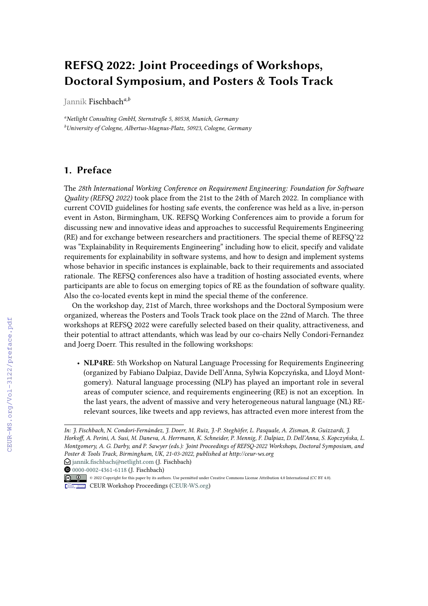## **REFSQ 2022: Joint Proceedings of Workshops, Doctoral Symposium, and Posters & Tools Track**

Jannik Fischbach*a,b*

*<sup>a</sup>Netlight Consulting GmbH, Sternstraße 5, 80538, Munich, Germany <sup>b</sup>University of Cologne, Albertus-Magnus-Platz, 50923, Cologne, Germany*

## **1. Preface**

The *28th International Working Conference on Requirement Engineering: Foundation for Software Quality (REFSQ 2022)* took place from the 21st to the 24th of March 2022. In compliance with current COVID guidelines for hosting safe events, the conference was held as a live, in-person event in Aston, Birmingham, UK. REFSQ Working Conferences aim to provide a forum for discussing new and innovative ideas and approaches to successful Requirements Engineering (RE) and for exchange between researchers and practitioners. The special theme of REFSQ'22 was "Explainability in Requirements Engineering" including how to elicit, specify and validate requirements for explainability in software systems, and how to design and implement systems whose behavior in specific instances is explainable, back to their requirements and associated rationale. The REFSQ conferences also have a tradition of hosting associated events, where participants are able to focus on emerging topics of RE as the foundation of software quality. Also the co-located events kept in mind the special theme of the conference.

On the workshop day, 21st of March, three workshops and the Doctoral Symposium were organized, whereas the Posters and Tools Track took place on the 22nd of March. The three workshops at REFSQ 2022 were carefully selected based on their quality, attractiveness, and their potential to attract attendants, which was lead by our co-chairs Nelly Condori-Fernandez and Joerg Doerr. This resulted in the following workshops:

• **NLP4RE**: 5th Workshop on Natural Language Processing for Requirements Engineering (organized by Fabiano Dalpiaz, Davide Dell'Anna, Sylwia Kopczyńska, and Lloyd Montgomery). Natural language processing (NLP) has played an important role in several areas of computer science, and requirements engineering (RE) is not an exception. In the last years, the advent of massive and very heterogeneous natural language (NL) RErelevant sources, like tweets and app reviews, has attracted even more interest from the

*In: J. Fischbach, N. Condori-Fernández, J. Doerr, M. Ruiz, J.-P. Steghöfer, L. Pasquale, A. Zisman, R. Guizzardi, J. Horkoff, A. Perini, A. Susi, M. Daneva, A. Herrmann, K. Schneider, P. Mennig, F. Dalpiaz, D. Dell'Anna, S. Kopczyńska, L. Montgomery, A. G. Darby, and P. Sawyer (eds.): Joint Proceedings of REFSQ-2022 Workshops, Doctoral Symposium, and Poster & Tools Track, Birmingham, UK, 21-03-2022, published at http://ceur-ws.org*  $\bigcirc$  [jannik.fischbach@netlight.com](mailto:jannik.fischbach@netlight.com) (J. Fischbach)

**<sup>@</sup>** [0000-0002-4361-6118](https://orcid.org/0000-0002-4361-6118) (J. Fischbach)

<sup>© 2022</sup> Copyright for this paper by its authors. Use permitted under Creative Commons License Attribution 4.0 International (CC BY 4.0).

CEUR Workshop [Proceedings](http://ceur-ws.org) [\(CEUR-WS.org\)](http://ceur-ws.org)